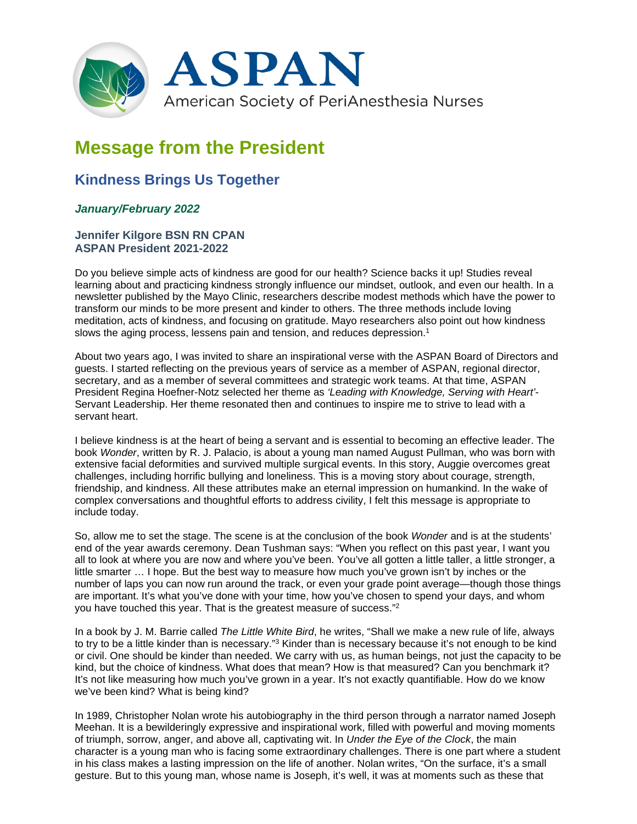

# **Message from the President**

# **Kindness Brings Us Together**

## *January/February 2022*

### **Jennifer Kilgore BSN RN CPAN ASPAN President 2021-2022**

Do you believe simple acts of kindness are good for our health? Science backs it up! Studies reveal learning about and practicing kindness strongly influence our mindset, outlook, and even our health. In a newsletter published by the Mayo Clinic, researchers describe modest methods which have the power to transform our minds to be more present and kinder to others. The three methods include loving meditation, acts of kindness, and focusing on gratitude. Mayo researchers also point out how kindness slows the aging process, lessens pain and tension, and reduces depression.<sup>1</sup>

About two years ago, I was invited to share an inspirational verse with the ASPAN Board of Directors and guests. I started reflecting on the previous years of service as a member of ASPAN, regional director, secretary, and as a member of several committees and strategic work teams. At that time, ASPAN President Regina Hoefner-Notz selected her theme as *'Leading with Knowledge, Serving with Heart'*- Servant Leadership. Her theme resonated then and continues to inspire me to strive to lead with a servant heart.

I believe kindness is at the heart of being a servant and is essential to becoming an effective leader. The book *Wonder*, written by R. J. Palacio, is about a young man named August Pullman, who was born with extensive facial deformities and survived multiple surgical events. In this story, Auggie overcomes great challenges, including horrific bullying and loneliness. This is a moving story about courage, strength, friendship, and kindness. All these attributes make an eternal impression on humankind. In the wake of complex conversations and thoughtful efforts to address civility, I felt this message is appropriate to include today.

So, allow me to set the stage. The scene is at the conclusion of the book *Wonder* and is at the students' end of the year awards ceremony. Dean Tushman says: "When you reflect on this past year, I want you all to look at where you are now and where you've been. You've all gotten a little taller, a little stronger, a little smarter … I hope. But the best way to measure how much you've grown isn't by inches or the number of laps you can now run around the track, or even your grade point average—though those things are important. It's what you've done with your time, how you've chosen to spend your days, and whom you have touched this year. That is the greatest measure of success."2

In a book by J. M. Barrie called *The Little White Bird*, he writes, "Shall we make a new rule of life, always to try to be a little kinder than is necessary."3 Kinder than is necessary because it's not enough to be kind or civil. One should be kinder than needed. We carry with us, as human beings, not just the capacity to be kind, but the choice of kindness. What does that mean? How is that measured? Can you benchmark it? It's not like measuring how much you've grown in a year. It's not exactly quantifiable. How do we know we've been kind? What is being kind?

In 1989, Christopher Nolan wrote his autobiography in the third person through a narrator named Joseph Meehan. It is a bewilderingly expressive and inspirational work, filled with powerful and moving moments of triumph, sorrow, anger, and above all, captivating wit. In *Under the Eye of the Clock*, the main character is a young man who is facing some extraordinary challenges. There is one part where a student in his class makes a lasting impression on the life of another. Nolan writes, "On the surface, it's a small gesture. But to this young man, whose name is Joseph, it's well, it was at moments such as these that